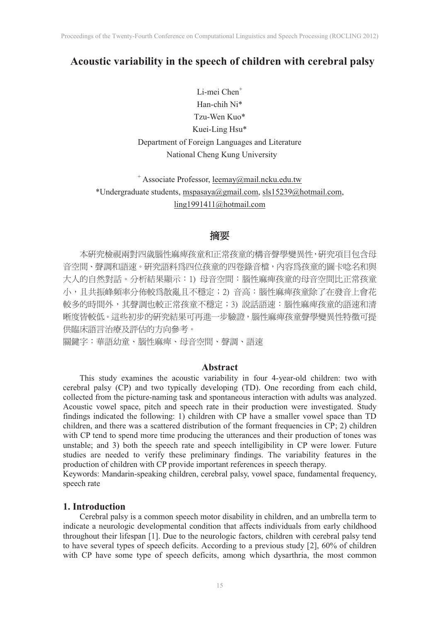# **Acoustic variability in the speech of children with cerebral palsy**

Li-mei Chen<sup>+</sup> Han-chih Ni\* Tzu-Wen Kuo\* Kuei-Ling Hsu\* Department of Foreign Languages and Literature National Cheng Kung University

+ Associate Professor, leemay@mail.ncku.edu.tw \*Undergraduate students, mspasaya@gmail.com, sls15239@hotmail.com, ling1991411@hotmail.com

# 摘要

本研究檢視兩對四歲腦性麻痺孩童和正常孩童的構音聲學變異性,研究項目包含母 音空間、聲調和語速。研究語料爲四位孩童的四卷錄音檔,內容爲孩童的圖卡唸名和與 大人的自然對話。分析結果顯示: 1) 母音空間: 腦性麻痺孩童的母音空間比正常孩童 小,且共振峰頻率分佈較為散亂且不穩定;2) 音高:腦性麻痺孩童除了在發音上會花 較多的時間外,其聲調也較正常孩童不穩定; 3)說話語速: 腦性麻痺孩童的語速和清 晰度皆較低。這些初步的研究結果可再進一步驗證,腦性麻痺孩童聲學變異性特徵可提 供臨床語言治療及評估的方向參考。

關鍵字:華語幼童、腦性麻痺、母音空間、聲調、語速

## **Abstract**

This study examines the acoustic variability in four 4-year-old children: two with cerebral palsy (CP) and two typically developing (TD). One recording from each child, collected from the picture-naming task and spontaneous interaction with adults was analyzed. Acoustic vowel space, pitch and speech rate in their production were investigated. Study findings indicated the following: 1) children with CP have a smaller vowel space than TD children, and there was a scattered distribution of the formant frequencies in CP; 2) children with CP tend to spend more time producing the utterances and their production of tones was unstable; and 3) both the speech rate and speech intelligibility in CP were lower. Future studies are needed to verify these preliminary findings. The variability features in the production of children with CP provide important references in speech therapy.

Keywords: Mandarin-speaking children, cerebral palsy, vowel space, fundamental frequency, speech rate

## **1. Introduction**

Cerebral palsy is a common speech motor disability in children, and an umbrella term to indicate a neurologic developmental condition that affects individuals from early childhood throughout their lifespan [1]. Due to the neurologic factors, children with cerebral palsy tend to have several types of speech deficits. According to a previous study [2], 60% of children with CP have some type of speech deficits, among which dysarthria, the most common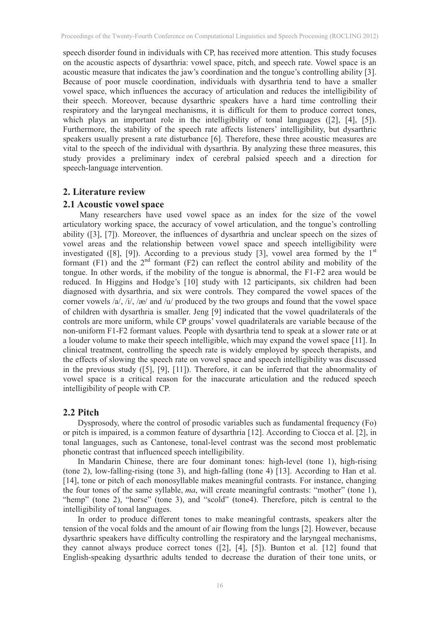speech disorder found in individuals with CP, has received more attention. This study focuses on the acoustic aspects of dysarthria: vowel space, pitch, and speech rate. Vowel space is an acoustic measure that indicates the jaw's coordination and the tongue's controlling ability [3]. Because of poor muscle coordination, individuals with dysarthria tend to have a smaller vowel space, which influences the accuracy of articulation and reduces the intelligibility of their speech. Moreover, because dysarthric speakers have a hard time controlling their respiratory and the laryngeal mechanisms, it is difficult for them to produce correct tones, which plays an important role in the intelligibility of tonal languages ([2], [4], [5]). Furthermore, the stability of the speech rate affects listeners' intelligibility, but dysarthric speakers usually present a rate disturbance [6]. Therefore, these three acoustic measures are vital to the speech of the individual with dysarthria. By analyzing these three measures, this study provides a preliminary index of cerebral palsied speech and a direction for speech-language intervention.

# **2. Literature review**

### **2.1 Acoustic vowel space**

Many researchers have used vowel space as an index for the size of the vowel articulatory working space, the accuracy of vowel articulation, and the tongue's controlling ability ([3], [7]). Moreover, the influences of dysarthria and unclear speech on the sizes of vowel areas and the relationship between vowel space and speech intelligibility were investigated ([8], [9]). According to a previous study [3], vowel area formed by the  $1<sup>st</sup>$ formant  $(F1)$  and the  $2<sup>nd</sup>$  formant  $(F2)$  can reflect the control ability and mobility of the tongue. In other words, if the mobility of the tongue is abnormal, the F1-F2 area would be reduced. In Higgins and Hodge's [10] study with 12 participants, six children had been diagnosed with dysarthria, and six were controls. They compared the vowel spaces of the corner vowels /a/, /i/, /æ/ and /u/ produced by the two groups and found that the vowel space of children with dysarthria is smaller. Jeng [9] indicated that the vowel quadrilaterals of the controls are more uniform, while CP groups' vowel quadrilaterals are variable because of the non-uniform F1-F2 formant values. People with dysarthria tend to speak at a slower rate or at a louder volume to make their speech intelligible, which may expand the vowel space [11]. In clinical treatment, controlling the speech rate is widely employed by speech therapists, and the effects of slowing the speech rate on vowel space and speech intelligibility was discussed in the previous study ([5], [9], [11]). Therefore, it can be inferred that the abnormality of vowel space is a critical reason for the inaccurate articulation and the reduced speech intelligibility of people with CP.

## **2.2 Pitch**

Dysprosody, where the control of prosodic variables such as fundamental frequency (Fo) or pitch is impaired, is a common feature of dysarthria [12]. According to Ciocca et al. [2], in tonal languages, such as Cantonese, tonal-level contrast was the second most problematic phonetic contrast that influenced speech intelligibility.

In Mandarin Chinese, there are four dominant tones: high-level (tone 1), high-rising (tone 2), low-falling-rising (tone 3), and high-falling (tone 4) [13]. According to Han et al. [14], tone or pitch of each monosyllable makes meaningful contrasts. For instance, changing the four tones of the same syllable, *ma*, will create meaningful contrasts: "mother" (tone 1), "hemp" (tone 2), "horse" (tone 3), and "scold" (tone4). Therefore, pitch is central to the intelligibility of tonal languages.

In order to produce different tones to make meaningful contrasts, speakers alter the tension of the vocal folds and the amount of air flowing from the lungs [2]. However, because dysarthric speakers have difficulty controlling the respiratory and the laryngeal mechanisms, they cannot always produce correct tones ([2], [4], [5]). Bunton et al. [12] found that English-speaking dysarthric adults tended to decrease the duration of their tone units, or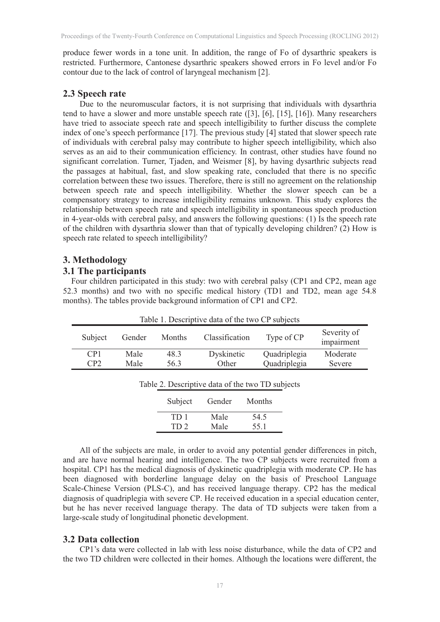produce fewer words in a tone unit. In addition, the range of Fo of dysarthric speakers is restricted. Furthermore, Cantonese dysarthric speakers showed errors in Fo level and/or Fo contour due to the lack of control of laryngeal mechanism [2].

## **2.3 Speech rate**

Due to the neuromuscular factors, it is not surprising that individuals with dysarthria tend to have a slower and more unstable speech rate ([3], [6], [15], [16]). Many researchers have tried to associate speech rate and speech intelligibility to further discuss the complete index of one's speech performance [17]. The previous study [4] stated that slower speech rate of individuals with cerebral palsy may contribute to higher speech intelligibility, which also serves as an aid to their communication efficiency. In contrast, other studies have found no significant correlation. Turner, Tjaden, and Weismer [8], by having dysarthric subjects read the passages at habitual, fast, and slow speaking rate, concluded that there is no specific correlation between these two issues. Therefore, there is still no agreement on the relationship between speech rate and speech intelligibility. Whether the slower speech can be a compensatory strategy to increase intelligibility remains unknown. This study explores the relationship between speech rate and speech intelligibility in spontaneous speech production in 4-year-olds with cerebral palsy, and answers the following questions: (1) Is the speech rate of the children with dysarthria slower than that of typically developing children? (2) How is speech rate related to speech intelligibility?

## **3. Methodology**

### **3.1 The participants**

Four children participated in this study: two with cerebral palsy (CP1 and CP2, mean age 52.3 months) and two with no specific medical history (TD1 and TD2, mean age 54.8 months). The tables provide background information of CP1 and CP2.

| Table 1. Descriptive data of the two CP subjects |      |      |                |              |                           |  |  |  |  |
|--------------------------------------------------|------|------|----------------|--------------|---------------------------|--|--|--|--|
| Subject<br>Months<br>Gender                      |      |      | Classification | Type of CP   | Severity of<br>impairment |  |  |  |  |
| CP1                                              | Male | 48.3 | Dyskinetic     | Quadriplegia | Moderate                  |  |  |  |  |
| CP2                                              | Male | 56.3 | Other          | Quadriplegia | Severe                    |  |  |  |  |

| Table 2. Descriptive data of the two TD subjects |  |  |  |
|--------------------------------------------------|--|--|--|
|                                                  |  |  |  |

| Subject         | Gender | Months |
|-----------------|--------|--------|
| TD <sub>1</sub> | Male   | 54.5   |
| TD <sub>2</sub> | Male   | 55.1   |

All of the subjects are male, in order to avoid any potential gender differences in pitch, and are have normal hearing and intelligence. The two CP subjects were recruited from a hospital. CP1 has the medical diagnosis of dyskinetic quadriplegia with moderate CP. He has been diagnosed with borderline language delay on the basis of Preschool Language Scale-Chinese Version (PLS-C), and has received language therapy. CP2 has the medical diagnosis of quadriplegia with severe CP. He received education in a special education center, but he has never received language therapy. The data of TD subjects were taken from a large-scale study of longitudinal phonetic development.

### **3.2 Data collection**

CP1's data were collected in lab with less noise disturbance, while the data of CP2 and the two TD children were collected in their homes. Although the locations were different, the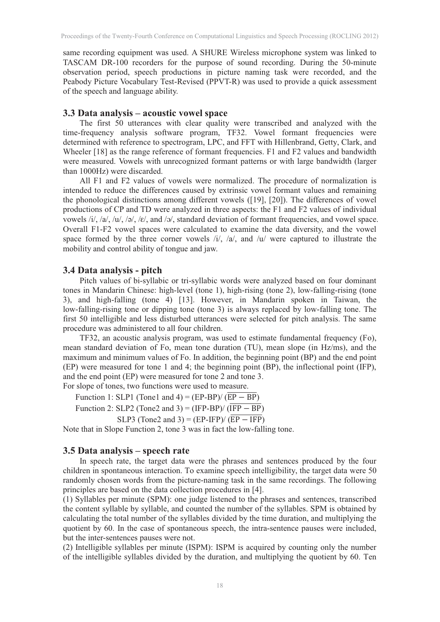same recording equipment was used. A SHURE Wireless microphone system was linked to TASCAM DR-100 recorders for the purpose of sound recording. During the 50-minute observation period, speech productions in picture naming task were recorded, and the Peabody Picture Vocabulary Test-Revised (PPVT-R) was used to provide a quick assessment of the speech and language ability.

### **3.3 Data analysis – acoustic vowel space**

The first 50 utterances with clear quality were transcribed and analyzed with the time-frequency analysis software program, TF32. Vowel formant frequencies were determined with reference to spectrogram, LPC, and FFT with Hillenbrand, Getty, Clark, and Wheeler [18] as the range reference of formant frequencies. F1 and F2 values and bandwidth were measured. Vowels with unrecognized formant patterns or with large bandwidth (larger than 1000Hz) were discarded.

All F1 and F2 values of vowels were normalized. The procedure of normalization is intended to reduce the differences caused by extrinsic vowel formant values and remaining the phonological distinctions among different vowels ([19], [20]). The differences of vowel productions of CP and TD were analyzed in three aspects: the F1 and F2 values of individual vowels /i/, /a/, /u/, /ə/, /ɛ/, and /ɔ/, standard deviation of formant frequencies, and vowel space. Overall F1-F2 vowel spaces were calculated to examine the data diversity, and the vowel space formed by the three corner vowels /i/, /a/, and /u/ were captured to illustrate the mobility and control ability of tongue and jaw.

### **3.4 Data analysis - pitch**

Pitch values of bi-syllabic or tri-syllabic words were analyzed based on four dominant tones in Mandarin Chinese: high-level (tone 1), high-rising (tone 2), low-falling-rising (tone 3), and high-falling (tone 4) [13]. However, in Mandarin spoken in Taiwan, the low-falling-rising tone or dipping tone (tone 3) is always replaced by low-falling tone. The first 50 intelligible and less disturbed utterances were selected for pitch analysis. The same procedure was administered to all four children.

TF32, an acoustic analysis program, was used to estimate fundamental frequency (Fo), mean standard deviation of Fo, mean tone duration (TU), mean slope (in Hz/ms), and the maximum and minimum values of Fo. In addition, the beginning point (BP) and the end point (EP) were measured for tone 1 and 4; the beginning point (BP), the inflectional point (IFP), and the end point (EP) were measured for tone 2 and tone 3. For slope of tones, two functions were used to measure.

Function 1: SLP1 (Tone1 and 4) = (EP-BP)/  $(\overline{EP - BP})$ 

Function 2: SLP2 (Tone2 and 3) = (IFP-BP)/  $(\overline{IFP - BP})$ 

SLP3 (Tone2 and 3) =  $(EP-IFP)/(\overline{EP - IFP})$ 

Note that in Slope Function 2, tone 3 was in fact the low-falling tone.

### **3.5 Data analysis – speech rate**

In speech rate, the target data were the phrases and sentences produced by the four children in spontaneous interaction. To examine speech intelligibility, the target data were 50 randomly chosen words from the picture-naming task in the same recordings. The following principles are based on the data collection procedures in [4].

(1) Syllables per minute (SPM): one judge listened to the phrases and sentences, transcribed the content syllable by syllable, and counted the number of the syllables. SPM is obtained by calculating the total number of the syllables divided by the time duration, and multiplying the quotient by 60. In the case of spontaneous speech, the intra-sentence pauses were included, but the inter-sentences pauses were not.

(2) Intelligible syllables per minute (ISPM): ISPM is acquired by counting only the number of the intelligible syllables divided by the duration, and multiplying the quotient by 60. Ten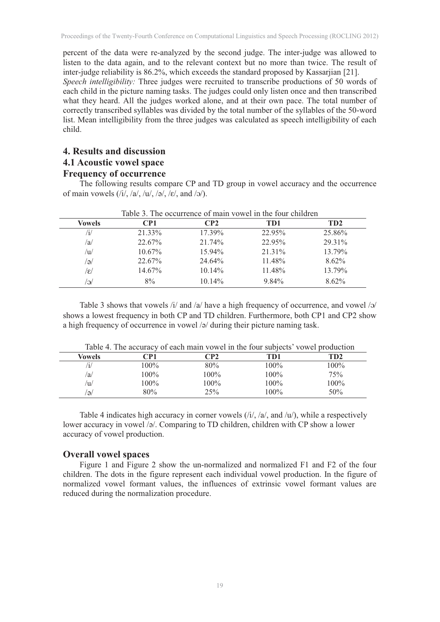percent of the data were re-analyzed by the second judge. The inter-judge was allowed to listen to the data again, and to the relevant context but no more than twice. The result of inter-judge reliability is 86.2%, which exceeds the standard proposed by Kassarjian [21]. *Speech intelligibility:* Three judges were recruited to transcribe productions of 50 words of each child in the picture naming tasks. The judges could only listen once and then transcribed

what they heard. All the judges worked alone, and at their own pace. The total number of correctly transcribed syllables was divided by the total number of the syllables of the 50-word list. Mean intelligibility from the three judges was calculated as speech intelligibility of each child.

# **4. Results and discussion**

# **4.1 Acoustic vowel space**

# **Frequency of occurrence**

The following results compare CP and TD group in vowel accuracy and the occurrence of main vowels  $(i/$ ,  $/a/$ ,  $/u/$ ,  $(a/$ ,  $(e/$ , and  $(a/$ ).

| <b>Vowels</b> | CP1       | CP2       | TD1      | TD <sub>2</sub> |
|---------------|-----------|-----------|----------|-----------------|
| /1/           | 21.33%    | $17.39\%$ | 22.95%   | 25.86%          |
| /a/           | 22.67%    | 21.74%    | 22.95%   | 29.31%          |
| /u/           | $10.67\%$ | $15.94\%$ | 21.31%   | 13.79%          |
| (ə            | 22.67%    | 24.64%    | 11.48%   | $8.62\%$        |
| /ɛ/           | 14.67%    | $10.14\%$ | 11.48%   | 13.79%          |
| /റ            | 8%        | $10.14\%$ | $9.84\%$ | $8.62\%$        |

Table 3 shows that vowels  $\frac{1}{4}$  and  $\frac{1}{a}$  have a high frequency of occurrence, and vowel  $\frac{1}{2}$ shows a lowest frequency in both CP and TD children. Furthermore, both CP1 and CP2 show a high frequency of occurrence in vowel /ə/ during their picture naming task.

| Table 4. The accuracy of each main vowel in the four subjects' vowel production |         |         |         |         |  |  |  |
|---------------------------------------------------------------------------------|---------|---------|---------|---------|--|--|--|
| Vowels                                                                          | CP1     | CP2     | TD1     | TD2     |  |  |  |
|                                                                                 | $100\%$ | 80%     | $100\%$ | $100\%$ |  |  |  |
| /a/                                                                             | $100\%$ | 100%    | 100%    | 75%     |  |  |  |
| /u/                                                                             | $100\%$ | $100\%$ | 100%    | $100\%$ |  |  |  |
| 'Ə/                                                                             | 80%     | 25%     | 100%    | 50%     |  |  |  |

Table 4 indicates high accuracy in corner vowels  $(i/2, 4a)$ , and  $(i/2)$ , while a respectively lower accuracy in vowel /ə/. Comparing to TD children, children with CP show a lower accuracy of vowel production.

#### **Overall vowel spaces**

Figure 1 and Figure 2 show the un-normalized and normalized F1 and F2 of the four children. The dots in the figure represent each individual vowel production. In the figure of normalized vowel formant values, the influences of extrinsic vowel formant values are reduced during the normalization procedure.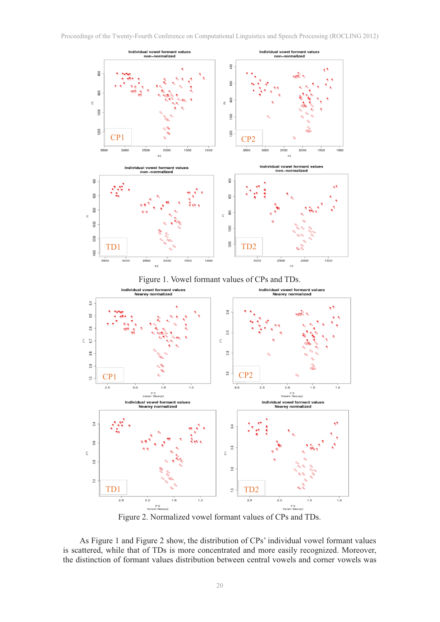





Figure 2. Normalized vowel formant values of CPs and TDs.

As Figure 1 and Figure 2 show, the distribution of CPs' individual vowel formant values is scattered, while that of TDs is more concentrated and more easily recognized. Moreover, the distinction of formant values distribution between central vowels and corner vowels was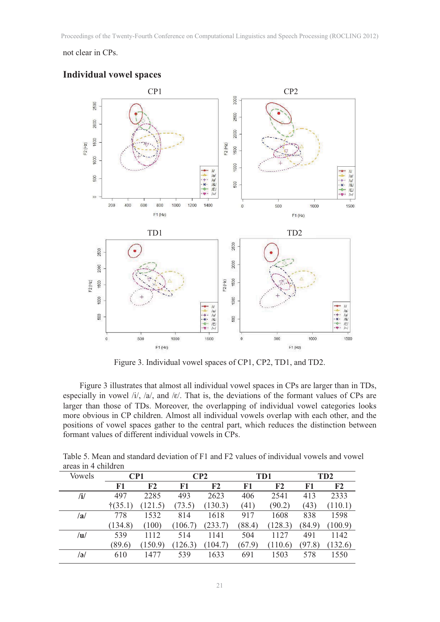# not clear in CPs.



### **Individual vowel spaces**

Figure 3. Individual vowel spaces of CP1, CP2, TD1, and TD2.

Figure 3 illustrates that almost all individual vowel spaces in CPs are larger than in TDs, especially in vowel  $/i/$ ,  $/a/$ , and  $/e/$ . That is, the deviations of the formant values of CPs are larger than those of TDs. Moreover, the overlapping of individual vowel categories looks more obvious in CP children. Almost all individual vowels overlap with each other, and the positions of vowel spaces gather to the central part, which reduces the distinction between formant values of different individual vowels in CPs.

|                     | Table 5. Mean and standard deviation of F1 and F2 values of individual vowels and vowel |
|---------------------|-----------------------------------------------------------------------------------------|
| areas in 4 children |                                                                                         |

| <b>Vowels</b> | CP1               |                |         | CP <sub>2</sub> |        | TD1            | TD <sub>2</sub> |                |  |
|---------------|-------------------|----------------|---------|-----------------|--------|----------------|-----------------|----------------|--|
|               | F1                | F <sub>2</sub> | F1      | F <sub>2</sub>  | F1     | F <sub>2</sub> | F1              | F <sub>2</sub> |  |
| /i/           | 497               | 2285           | 493     | 2623            | 406    | 2541           | 413             | 2333           |  |
|               | $\ddagger$ (35.1) | (121.5)        | (73.5)  | (130.3)         | (41)   | (90.2)         | (43)            | (110.1)        |  |
| /a/           | 778               | 1532           | 814     | 1618            | 917    | 1608           | 838             | 1598           |  |
|               | (134.8)           | (100)          | (106.7) | (233.7)         | (88.4) | (128.3)        | (84.9)          | (100.9)        |  |
| /u/           | 539               | 1112           | 514     | 1141            | 504    | 1127           | 491             | 1142           |  |
|               | (89.6)            | (150.9)        | (126.3) | (104.7)         | (67.9) | (110.6)        | (97.8)          | (132.6)        |  |
| /ə/           | 610               | 1477           | 539     | 1633            | 691    | 1503           | 578             | 1550           |  |
|               |                   |                |         |                 |        |                |                 |                |  |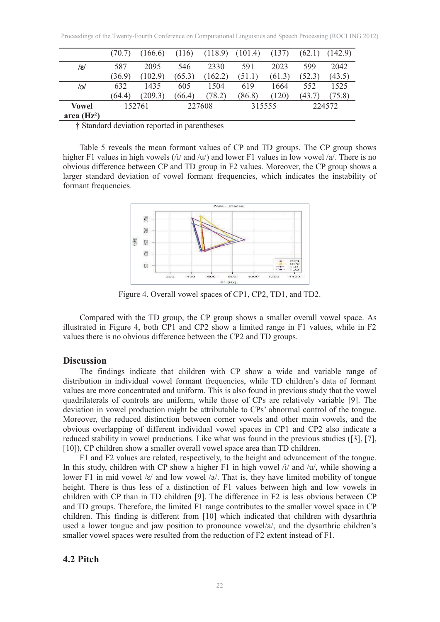|                  | (70.7) | (166.6) | (116)  | (118.9) | (101.4) | (137)  | (62.1) | (142.9) |
|------------------|--------|---------|--------|---------|---------|--------|--------|---------|
| $/\varepsilon$ / | 587    | 2095    | 546    | 2330    | 591     | 2023   | 599    | 2042    |
|                  | (36.9) | (102.9) | (65.3) | (162.2) | (51.1)  | (61.3) | (52.3) | (43.5)  |
| /၁/              | 632    | 1435    | 605    | 1504    | 619     | 1664   | 552    | 1525    |
|                  | (64.4) | (209.3) | (66.4) | (78.2)  | (86.8)  | (120)  | (43.7) | (75.8)  |
| <b>Vowel</b>     |        | 152761  |        | 227608  |         | 315555 |        | 224572  |
| area $(Hz2)$     |        |         |        |         |         |        |        |         |

† Standard deviation reported in parentheses

Table 5 reveals the mean formant values of CP and TD groups. The CP group shows higher F1 values in high vowels (/i/ and /u/) and lower F1 values in low vowel /a/. There is no obvious difference between CP and TD group in F2 values. Moreover, the CP group shows a larger standard deviation of vowel formant frequencies, which indicates the instability of formant frequencies.



Figure 4. Overall vowel spaces of CP1, CP2, TD1, and TD2.

Compared with the TD group, the CP group shows a smaller overall vowel space. As illustrated in Figure 4, both CP1 and CP2 show a limited range in F1 values, while in F2 values there is no obvious difference between the CP2 and TD groups.

### **Discussion**

The findings indicate that children with CP show a wide and variable range of distribution in individual vowel formant frequencies, while TD children's data of formant values are more concentrated and uniform. This is also found in previous study that the vowel quadrilaterals of controls are uniform, while those of CPs are relatively variable [9]. The deviation in vowel production might be attributable to CPs' abnormal control of the tongue. Moreover, the reduced distinction between corner vowels and other main vowels, and the obvious overlapping of different individual vowel spaces in CP1 and CP2 also indicate a reduced stability in vowel productions. Like what was found in the previous studies ([3], [7], [10]), CP children show a smaller overall vowel space area than TD children.

F1 and F2 values are related, respectively, to the height and advancement of the tongue. In this study, children with CP show a higher F1 in high vowel /i/ and /u/, while showing a lower F1 in mid vowel / $\varepsilon$ / and low vowel /a/. That is, they have limited mobility of tongue height. There is thus less of a distinction of F1 values between high and low vowels in children with CP than in TD children [9]. The difference in F2 is less obvious between CP and TD groups. Therefore, the limited F1 range contributes to the smaller vowel space in CP children. This finding is different from [10] which indicated that children with dysarthria used a lower tongue and jaw position to pronounce vowel/a/, and the dysarthric children's smaller vowel spaces were resulted from the reduction of F2 extent instead of F1.

## **4.2 Pitch**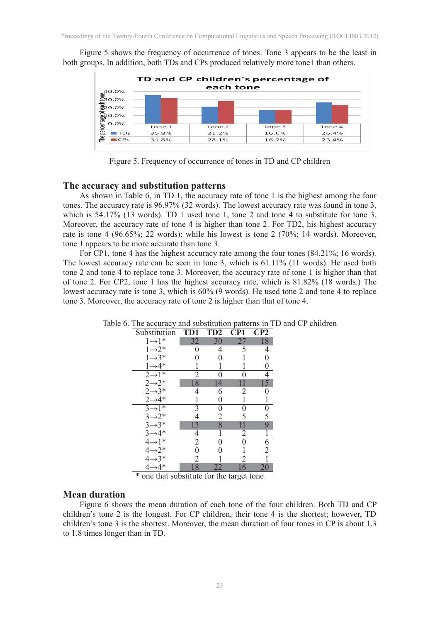Figure 5 shows the frequency of occurrence of tones. Tone 3 appears to be the least in both groups. In addition, both TDs and CPs produced relatively more tone1 than others.



Figure 5. Frequency of occurrence of tones in TD and CP children

#### **The accuracy and substitution patterns**

As shown in Table 6, in TD 1, the accuracy rate of tone 1 is the highest among the four tones. The accuracy rate is 96.97% (32 words). The lowest accuracy rate was found in tone 3, which is  $54.17\%$  (13 words). TD 1 used tone 1, tone 2 and tone 4 to substitute for tone 3. Moreover, the accuracy rate of tone 4 is higher than tone 2. For TD2, his highest accuracy rate is tone 4 (96.65%; 22 words); while his lowest is tone 2 (70%; 14 words). Moreover, tone 1 appears to be more accurate than tone 3.

For CP1, tone 4 has the highest accuracy rate among the four tones (84.21%; 16 words). The lowest accuracy rate can be seen in tone 3, which is 61.11% (11 words). He used both tone 2 and tone 4 to replace tone 3. Moreover, the accuracy rate of tone 1 is higher than that of tone 2. For CP2, tone 1 has the highest accuracy rate, which is 81.82% (18 words.) The lowest accuracy rate is tone 3, which is 60% (9 words). He used tone 2 and tone 4 to replace tone 3. Moreover, the accuracy rate of tone 2 is higher than that of tone 4.

| Substitution                                                      | TD1            | TD <sub>2</sub> | CP1             | $\bf CP2$      |
|-------------------------------------------------------------------|----------------|-----------------|-----------------|----------------|
| $1\overline{\rightarrow}1^*$                                      | 32             | 30              | $\overline{27}$ | 18             |
| $1 \rightarrow 2^*$<br>$1 \rightarrow 3^*$                        | 0              | 4               | 5               | 4              |
|                                                                   | 0              | 0               |                 | 0              |
| $1 \rightarrow 4*$                                                |                |                 |                 | 0              |
| $2\rightarrow 1^*$                                                | $\overline{2}$ | 0               | 0               | 4              |
| $2 \rightarrow 2^*$<br>$2 \rightarrow 3^*$                        | 18             | 14              |                 | 15             |
|                                                                   | 4              | 6               | 2               | 0              |
| $2 \rightarrow 4*$                                                |                | 0               |                 | 1              |
| $3 \rightarrow 1^*$                                               | 3              | 0               | 0               |                |
|                                                                   |                | 2               | 5               | $\overline{5}$ |
| $3 \rightarrow 2^*$<br>$3 \rightarrow 3^*$                        | 13             | 8               |                 | 9              |
| $3 \rightarrow 4*$                                                | 4              | 1               | $\overline{2}$  | 1              |
| $4\overline{\rightarrow}1^*$                                      | $\overline{2}$ | 0               | $\Omega$        | 6              |
|                                                                   | 0              |                 |                 | $\overline{2}$ |
|                                                                   |                |                 | 2               |                |
| $4 \rightarrow 2^*$<br>$4 \rightarrow 3^*$<br>$4 \rightarrow 4^*$ | 18             | 22              | 16              | 20             |

Table 6. The accuracy and substitution patterns in TD and CP children

\* one that substitute for the target tone

### **Mean duration**

Figure 6 shows the mean duration of each tone of the four children. Both TD and CP children's tone 2 is the longest. For CP children, their tone 4 is the shortest; however, TD children's tone 3 is the shortest. Moreover, the mean duration of four tones in CP is about 1.3 to 1.8 times longer than in TD.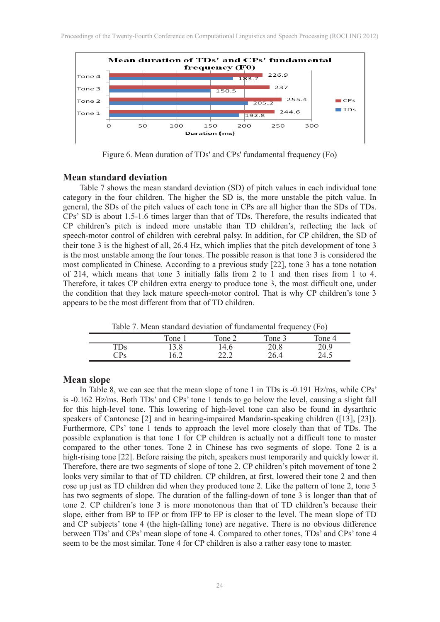

Figure 6. Mean duration of TDs' and CPs' fundamental frequency (Fo)

#### **Mean standard deviation**

Table 7 shows the mean standard deviation (SD) of pitch values in each individual tone category in the four children. The higher the SD is, the more unstable the pitch value. In general, the SDs of the pitch values of each tone in CPs are all higher than the SDs of TDs. CPs' SD is about 1.5-1.6 times larger than that of TDs. Therefore, the results indicated that CP children's pitch is indeed more unstable than TD children's, reflecting the lack of speech-motor control of children with cerebral palsy. In addition, for CP children, the SD of their tone 3 is the highest of all, 26.4 Hz, which implies that the pitch development of tone 3 is the most unstable among the four tones. The possible reason is that tone 3 is considered the most complicated in Chinese. According to a previous study [22], tone 3 has a tone notation of 214, which means that tone 3 initially falls from 2 to 1 and then rises from 1 to 4. Therefore, it takes CP children extra energy to produce tone 3, the most difficult one, under the condition that they lack mature speech-motor control. That is why CP children's tone 3 appears to be the most different from that of TD children.

Table 7. Mean standard deviation of fundamental frequency (Fo)

|                         | .    |              |        |        |
|-------------------------|------|--------------|--------|--------|
|                         | Tone | Tone 2       | Tone 3 | Tone 4 |
| TDs                     | 13.8 | l 4.6        | 20.8   | 20.9   |
| $\mathbb{C}\mathrm{Ps}$ | 16.2 | າາ າ<br>44.L | 26.4   | 24.5   |

#### **Mean slope**

In Table 8, we can see that the mean slope of tone 1 in TDs is -0.191 Hz/ms, while CPs' is -0.162 Hz/ms. Both TDs' and CPs' tone 1 tends to go below the level, causing a slight fall for this high-level tone. This lowering of high-level tone can also be found in dysarthric speakers of Cantonese [2] and in hearing-impaired Mandarin-speaking children ([13], [23]). Furthermore, CPs' tone 1 tends to approach the level more closely than that of TDs. The possible explanation is that tone 1 for CP children is actually not a difficult tone to master compared to the other tones. Tone 2 in Chinese has two segments of slope. Tone 2 is a high-rising tone [22]. Before raising the pitch, speakers must temporarily and quickly lower it. Therefore, there are two segments of slope of tone 2. CP children's pitch movement of tone 2 looks very similar to that of TD children. CP children, at first, lowered their tone 2 and then rose up just as TD children did when they produced tone 2. Like the pattern of tone 2, tone 3 has two segments of slope. The duration of the falling-down of tone 3 is longer than that of tone 2. CP children's tone 3 is more monotonous than that of TD children's because their slope, either from BP to IFP or from IFP to EP is closer to the level. The mean slope of TD and CP subjects' tone 4 (the high-falling tone) are negative. There is no obvious difference between TDs' and CPs' mean slope of tone 4. Compared to other tones, TDs' and CPs' tone 4 seem to be the most similar. Tone 4 for CP children is also a rather easy tone to master.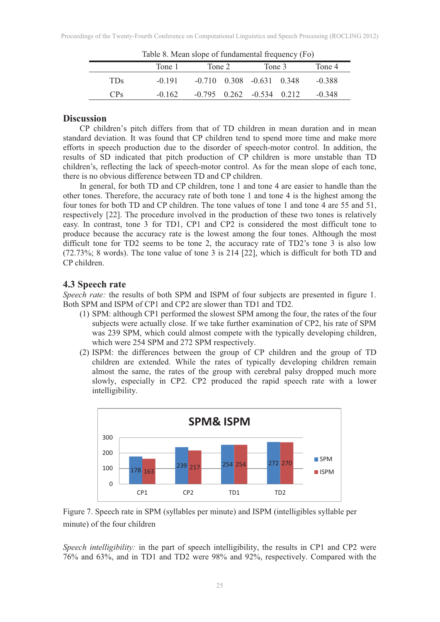| Table 8. Mean slope of fundamental frequency (FO) |          |        |  |                                   |  |          |  |  |  |
|---------------------------------------------------|----------|--------|--|-----------------------------------|--|----------|--|--|--|
|                                                   | Tone 1   | Tone 2 |  | Tone 3                            |  | Tone 4   |  |  |  |
| TDs.                                              | $-0.191$ |        |  | $-0.710$ $0.308$ $-0.631$ $0.348$ |  | $-0.388$ |  |  |  |
| CP <sub>S</sub>                                   | $-0.162$ |        |  | $-0.795$ $0.262$ $-0.534$ $0.212$ |  | $-0.348$ |  |  |  |

Table 8. Mean slope of fundamental frequency (Fo)

### **Discussion**

CP children's pitch differs from that of TD children in mean duration and in mean standard deviation. It was found that CP children tend to spend more time and make more efforts in speech production due to the disorder of speech-motor control. In addition, the results of SD indicated that pitch production of CP children is more unstable than TD children's, reflecting the lack of speech-motor control. As for the mean slope of each tone, there is no obvious difference between TD and CP children.

In general, for both TD and CP children, tone 1 and tone 4 are easier to handle than the other tones. Therefore, the accuracy rate of both tone 1 and tone 4 is the highest among the four tones for both TD and CP children. The tone values of tone 1 and tone 4 are 55 and 51, respectively [22]. The procedure involved in the production of these two tones is relatively easy. In contrast, tone 3 for TD1, CP1 and CP2 is considered the most difficult tone to produce because the accuracy rate is the lowest among the four tones. Although the most difficult tone for TD2 seems to be tone 2, the accuracy rate of TD2's tone 3 is also low (72.73%; 8 words). The tone value of tone 3 is 214 [22], which is difficult for both TD and CP children.

## **4.3 Speech rate**

*Speech rate:* the results of both SPM and ISPM of four subjects are presented in figure 1. Both SPM and ISPM of CP1 and CP2 are slower than TD1 and TD2.

- (1) SPM: although CP1 performed the slowest SPM among the four, the rates of the four subjects were actually close. If we take further examination of CP2, his rate of SPM was 239 SPM, which could almost compete with the typically developing children, which were 254 SPM and 272 SPM respectively.
- (2) ISPM: the differences between the group of CP children and the group of TD children are extended. While the rates of typically developing children remain almost the same, the rates of the group with cerebral palsy dropped much more slowly, especially in CP2. CP2 produced the rapid speech rate with a lower intelligibility.





*Speech intelligibility:* in the part of speech intelligibility, the results in CP1 and CP2 were 76% and 63%, and in TD1 and TD2 were 98% and 92%, respectively. Compared with the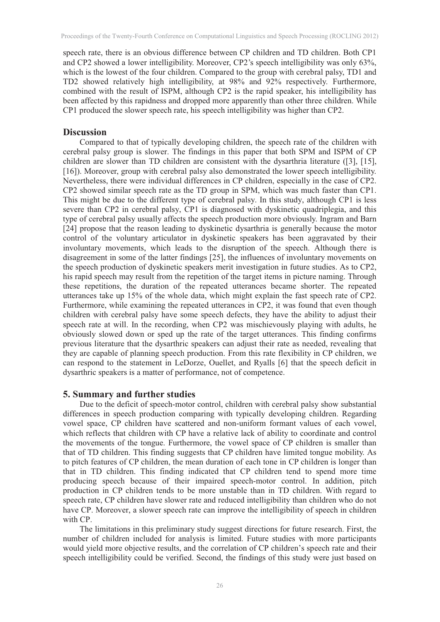speech rate, there is an obvious difference between CP children and TD children. Both CP1 and CP2 showed a lower intelligibility. Moreover, CP2's speech intelligibility was only 63%, which is the lowest of the four children. Compared to the group with cerebral palsy, TD1 and TD2 showed relatively high intelligibility, at 98% and 92% respectively. Furthermore, combined with the result of ISPM, although CP2 is the rapid speaker, his intelligibility has been affected by this rapidness and dropped more apparently than other three children. While CP1 produced the slower speech rate, his speech intelligibility was higher than CP2.

### **Discussion**

Compared to that of typically developing children, the speech rate of the children with cerebral palsy group is slower. The findings in this paper that both SPM and ISPM of CP children are slower than TD children are consistent with the dysarthria literature ([3], [15], [16]). Moreover, group with cerebral palsy also demonstrated the lower speech intelligibility. Nevertheless, there were individual differences in CP children, especially in the case of CP2. CP2 showed similar speech rate as the TD group in SPM, which was much faster than CP1. This might be due to the different type of cerebral palsy. In this study, although CP1 is less severe than CP2 in cerebral palsy, CP1 is diagnosed with dyskinetic quadriplegia, and this type of cerebral palsy usually affects the speech production more obviously. Ingram and Barn [24] propose that the reason leading to dyskinetic dysarthria is generally because the motor control of the voluntary articulator in dyskinetic speakers has been aggravated by their involuntary movements, which leads to the disruption of the speech. Although there is disagreement in some of the latter findings [25], the influences of involuntary movements on the speech production of dyskinetic speakers merit investigation in future studies. As to CP2, his rapid speech may result from the repetition of the target items in picture naming. Through these repetitions, the duration of the repeated utterances became shorter. The repeated utterances take up 15% of the whole data, which might explain the fast speech rate of CP2. Furthermore, while examining the repeated utterances in CP2, it was found that even though children with cerebral palsy have some speech defects, they have the ability to adjust their speech rate at will. In the recording, when CP2 was mischievously playing with adults, he obviously slowed down or sped up the rate of the target utterances. This finding confirms previous literature that the dysarthric speakers can adjust their rate as needed, revealing that they are capable of planning speech production. From this rate flexibility in CP children, we can respond to the statement in LeDorze, Ouellet, and Ryalls [6] that the speech deficit in dysarthric speakers is a matter of performance, not of competence.

### **5. Summary and further studies**

Due to the deficit of speech-motor control, children with cerebral palsy show substantial differences in speech production comparing with typically developing children. Regarding vowel space, CP children have scattered and non-uniform formant values of each vowel, which reflects that children with CP have a relative lack of ability to coordinate and control the movements of the tongue. Furthermore, the vowel space of CP children is smaller than that of TD children. This finding suggests that CP children have limited tongue mobility. As to pitch features of CP children, the mean duration of each tone in CP children is longer than that in TD children. This finding indicated that CP children tend to spend more time producing speech because of their impaired speech-motor control. In addition, pitch production in CP children tends to be more unstable than in TD children. With regard to speech rate, CP children have slower rate and reduced intelligibility than children who do not have CP. Moreover, a slower speech rate can improve the intelligibility of speech in children with CP.

The limitations in this preliminary study suggest directions for future research. First, the number of children included for analysis is limited. Future studies with more participants would yield more objective results, and the correlation of CP children's speech rate and their speech intelligibility could be verified. Second, the findings of this study were just based on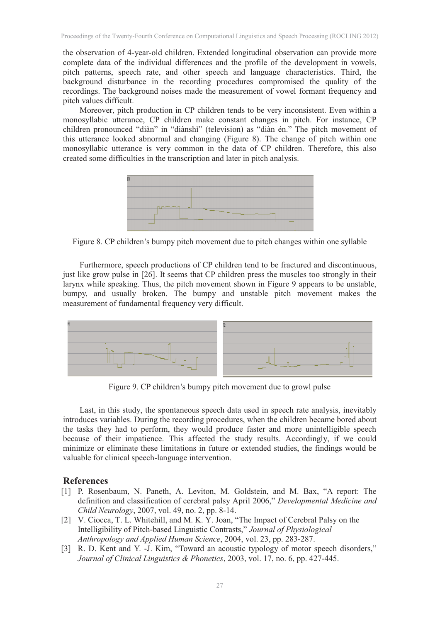the observation of 4-year-old children. Extended longitudinal observation can provide more complete data of the individual differences and the profile of the development in vowels, pitch patterns, speech rate, and other speech and language characteristics. Third, the background disturbance in the recording procedures compromised the quality of the recordings. The background noises made the measurement of vowel formant frequency and pitch values difficult.

Moreover, pitch production in CP children tends to be very inconsistent. Even within a monosyllabic utterance, CP children make constant changes in pitch. For instance, CP children pronounced "diàn" in "diànshì" (television) as "diàn én." The pitch movement of this utterance looked abnormal and changing (Figure 8). The change of pitch within one monosyllabic utterance is very common in the data of CP children. Therefore, this also created some difficulties in the transcription and later in pitch analysis.



Figure 8. CP children's bumpy pitch movement due to pitch changes within one syllable

 Furthermore, speech productions of CP children tend to be fractured and discontinuous, just like grow pulse in [26]. It seems that CP children press the muscles too strongly in their larynx while speaking. Thus, the pitch movement shown in Figure 9 appears to be unstable, bumpy, and usually broken. The bumpy and unstable pitch movement makes the measurement of fundamental frequency very difficult.



Figure 9. CP children's bumpy pitch movement due to growl pulse

Last, in this study, the spontaneous speech data used in speech rate analysis, inevitably introduces variables. During the recording procedures, when the children became bored about the tasks they had to perform, they would produce faster and more unintelligible speech because of their impatience. This affected the study results. Accordingly, if we could minimize or eliminate these limitations in future or extended studies, the findings would be valuable for clinical speech-language intervention.

## **References**

- [1] P. Rosenbaum, N. Paneth, A. Leviton, M. Goldstein, and M. Bax, "A report: The definition and classification of cerebral palsy April 2006," *Developmental Medicine and Child Neurology*, 2007, vol. 49, no. 2, pp. 8-14.
- [2] V. Ciocca, T. L. Whitehill, and M. K. Y. Joan, "The Impact of Cerebral Palsy on the Intelligibility of Pitch-based Linguistic Contrasts," *Journal of Physiological Anthropology and Applied Human Science*, 2004, vol. 23, pp. 283-287.
- [3] R. D. Kent and Y. -J. Kim, "Toward an acoustic typology of motor speech disorders," *Journal of Clinical Linguistics & Phonetics*, 2003, vol. 17, no. 6, pp. 427-445.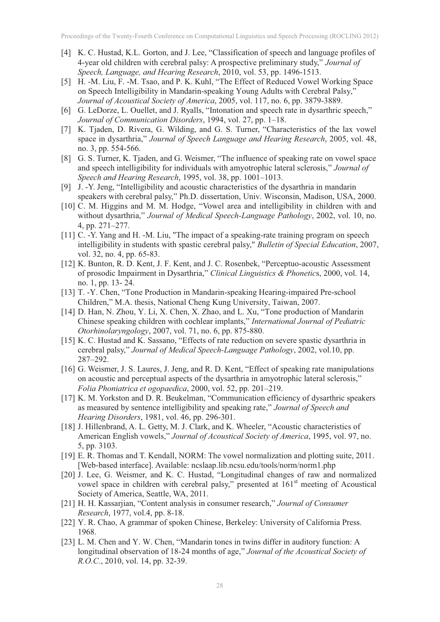- [4] K. C. Hustad, K.L. Gorton, and J. Lee, "Classification of speech and language profiles of 4-year old children with cerebral palsy: A prospective preliminary study," *Journal of Speech, Language, and Hearing Research*, 2010, vol. 53, pp. 1496-1513.
- [5] H. -M. Liu, F. -M. Tsao, and P. K. Kuhl, "The Effect of Reduced Vowel Working Space on Speech Intelligibility in Mandarin-speaking Young Adults with Cerebral Palsy," *Journal of Acoustical Society of America*, 2005, vol. 117, no. 6, pp. 3879-3889.
- [6] G. LeDorze, L. Ouellet, and J. Ryalls, "Intonation and speech rate in dysarthric speech," *Journal of Communication Disorders*, 1994, vol. 27, pp. 1–18.
- [7] K. Tjaden, D. Rivera, G. Wilding, and G. S. Turner, "Characteristics of the lax vowel space in dysarthria," *Journal of Speech Language and Hearing Research*, 2005, vol. 48, no. 3, pp. 554-566.
- [8] G. S. Turner, K. Tjaden, and G. Weismer, "The influence of speaking rate on vowel space and speech intelligibility for individuals with amyotrophic lateral sclerosis," *Journal of Speech and Hearing Research*, 1995, vol. 38, pp. 1001–1013.
- [9] J. -Y. Jeng, "Intelligibility and acoustic characteristics of the dysarthria in mandarin speakers with cerebral palsy," Ph.D. dissertation, Univ. Wisconsin, Madison, USA, 2000.
- [10] C. M. Higgins and M. M. Hodge, "Vowel area and intelligibility in children with and without dysarthria," *Journal of Medical Speech-Language Pathology*, 2002, vol. 10, no. 4, pp. 271–277.
- [11] C. -Y. Yang and H. -M. Liu, "The impact of a speaking-rate training program on speech intelligibility in students with spastic cerebral palsy," *Bulletin of Special Education*, 2007, vol. 32, no. 4, pp. 65-83.
- [12] K. Bunton, R. D. Kent, J. F. Kent, and J. C. Rosenbek, "Perceptuo-acoustic Assessment of prosodic Impairment in Dysarthria," *Clinical Linguistics & Phonetic*s, 2000, vol. 14, no. 1, pp. 13- 24.
- [13] T. -Y. Chen, "Tone Production in Mandarin-speaking Hearing-impaired Pre-school Children," M.A. thesis, National Cheng Kung University, Taiwan, 2007.
- [14] D. Han, N. Zhou, Y. Li, X. Chen, X. Zhao, and L. Xu, "Tone production of Mandarin Chinese speaking children with cochlear implants," *International Journal of Pediatric Otorhinolaryngology*, 2007, vol. 71, no. 6, pp. 875-880.
- [15] K. C. Hustad and K. Sassano, "Effects of rate reduction on severe spastic dysarthria in cerebral palsy," *Journal of Medical Speech-Language Pathology*, 2002, vol.10, pp. 287–292.
- [16] G. Weismer, J. S. Laures, J. Jeng, and R. D. Kent, "Effect of speaking rate manipulations on acoustic and perceptual aspects of the dysarthria in amyotrophic lateral sclerosis," *Folia Phoniatrica et ogopaedica*, 2000, vol. 52, pp. 201–219.
- [17] K. M. Yorkston and D. R. Beukelman, "Communication efficiency of dysarthric speakers as measured by sentence intelligibility and speaking rate," *Journal of Speech and Hearing Disorders*, 1981, vol. 46, pp. 296-301.
- [18] J. Hillenbrand, A. L. Getty, M. J. Clark, and K. Wheeler, "Acoustic characteristics of American English vowels," *Journal of Acoustical Society of America*, 1995, vol. 97, no. 5, pp. 3103.
- [19] E. R. Thomas and T. Kendall, NORM: The vowel normalization and plotting suite, 2011. [Web-based interface]. Available: ncslaap.lib.ncsu.edu/tools/norm/norm1.php
- [20] J. Lee, G. Weismer, and K. C. Hustad, "Longitudinal changes of raw and normalized vowel space in children with cerebral palsy," presented at 161<sup>st</sup> meeting of Acoustical Society of America, Seattle, WA, 2011.
- [21] H. H. Kassarjian, "Content analysis in consumer research," *Journal of Consumer Research*, 1977, vol.4, pp. 8-18.
- [22] Y. R. Chao, A grammar of spoken Chinese, Berkeley: University of California Press. 1968.
- [23] L. M. Chen and Y. W. Chen, "Mandarin tones in twins differ in auditory function: A longitudinal observation of 18-24 months of age," *Journal of the Acoustical Society of R.O.C.*, 2010, vol. 14, pp. 32-39.